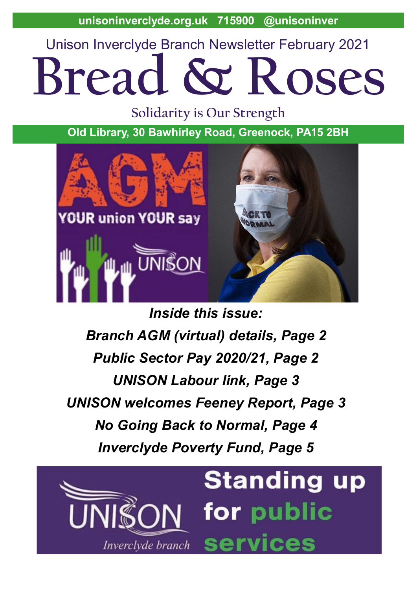**unisoninverclyde.org.uk 715900 @unisoninver**

Unison Inverclyde Branch Newsletter February 2021

# **Bread & Roses**

**Solidarity is Our Strength**

**Old Library, 30 Bawhirley Road, Greenock, PA15 2BH**



*Inside this issue: Branch AGM (virtual) details, Page 2 Public Sector Pay 2020/21, Page 2 UNISON Labour link, Page 3 UNISON welcomes Feeney Report, Page 3 No Going Back to Normal, Page 4 Inverclyde Poverty Fund, Page 5*

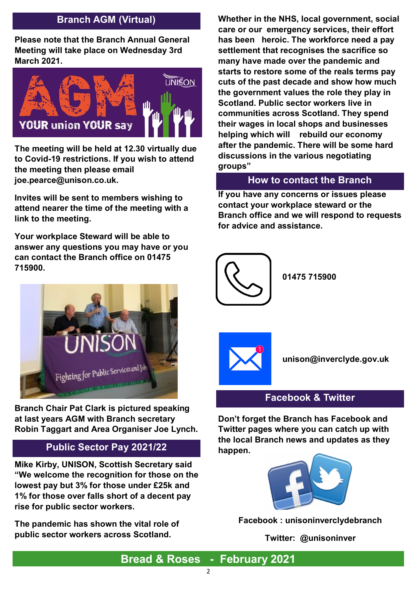# **Branch AGM (Virtual)**

**Please note that the Branch Annual General Meeting will take place on Wednesday 3rd March 2021.** 



**The meeting will be held at 12.30 virtually due to Covid-19 restrictions. If you wish to attend the meeting then please email joe.pearce@unison.co.uk.** 

**Invites will be sent to members wishing to attend nearer the time of the meeting with a link to the meeting.** 

**Your workplace Steward will be able to answer any questions you may have or you can contact the Branch office on 01475 715900.**



**Branch Chair Pat Clark is pictured speaking at last years AGM with Branch secretary Robin Taggart and Area Organiser Joe Lynch.**

## **Public Sector Pay 2021/22**

**Mike Kirby, UNISON, Scottish Secretary said "We welcome the recognition for those on the lowest pay but 3% for those under £25k and 1% for those over falls short of a decent pay rise for public sector workers.** 

**The pandemic has shown the vital role of public sector workers across Scotland.** 

**Whether in the NHS, local government, social care or our emergency services, their effort has been heroic. The workforce need a pay settlement that recognises the sacrifice so many have made over the pandemic and starts to restore some of the reals terms pay cuts of the past decade and show how much the government values the role they play in Scotland. Public sector workers live in communities across Scotland. They spend their wages in local shops and businesses helping which will rebuild our economy after the pandemic. There will be some hard discussions in the various negotiating groups"** 

## **How to contact the Branch**

**If you have any concerns or issues please contact your workplace steward or the Branch office and we will respond to requests for advice and assistance.**



**01475 715900**



**unison@inverclyde.gov.uk**

#### **Facebook & Twitter**

**Don't forget the Branch has Facebook and Twitter pages where you can catch up with the local Branch news and updates as they happen.**



**Facebook : unisoninverclydebranch**

**Twitter: @unisoninver**

**Bread & Roses - February 2021**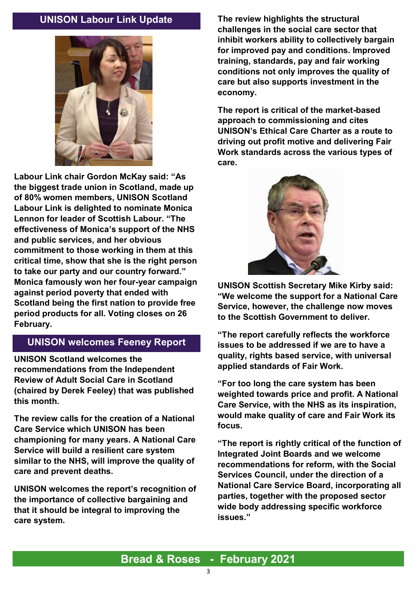## **UNISON Labour Link Update**



**Labour Link chair Gordon McKay said: "As the biggest trade union in Scotland, made up of 80% women members, UNISON Scotland Labour Link is delighted to nominate Monica Lennon for leader of Scottish Labour. "The effectiveness of Monica's support of the NHS and public services, and her obvious commitment to those working in them at this critical time, show that she is the right person to take our party and our country forward." Monica famously won her four-year campaign against period poverty that ended with Scotland being the first nation to provide free period products for all. Voting closes on 26 February.** 

# **UNISON welcomes Feeney Report**

**UNISON Scotland welcomes the recommendations from the Independent Review of Adult Social Care in Scotland (chaired by Derek Feeley) that was published this month.**

**The review calls for the creation of a National Care Service which UNISON has been championing for many years. A National Care Service will build a resilient care system similar to the NHS, will improve the quality of care and prevent deaths.**

**UNISON welcomes the report's recognition of the importance of collective bargaining and that it should be integral to improving the care system.**

**The review highlights the structural challenges in the social care sector that inhibit workers ability to collectively bargain for improved pay and conditions. Improved training, standards, pay and fair working conditions not only improves the quality of care but also supports investment in the economy.**

**The report is critical of the market-based approach to commissioning and cites UNISON's Ethical Care Charter as a route to driving out profit motive and delivering Fair Work standards across the various types of care.**



**UNISON Scottish Secretary Mike Kirby said: "We welcome the support for a National Care Service, however, the challenge now moves to the Scottish Government to deliver.**

**"The report carefully reflects the workforce issues to be addressed if we are to have a quality, rights based service, with universal applied standards of Fair Work.**

**"For too long the care system has been weighted towards price and profit. A National Care Service, with the NHS as its inspiration, would make quality of care and Fair Work its focus.**

**"The report is rightly critical of the function of Integrated Joint Boards and we welcome recommendations for reform, with the Social Services Council, under the direction of a National Care Service Board, incorporating all parties, together with the proposed sector wide body addressing specific workforce issues."**

# **Bread & Roses - February 2021**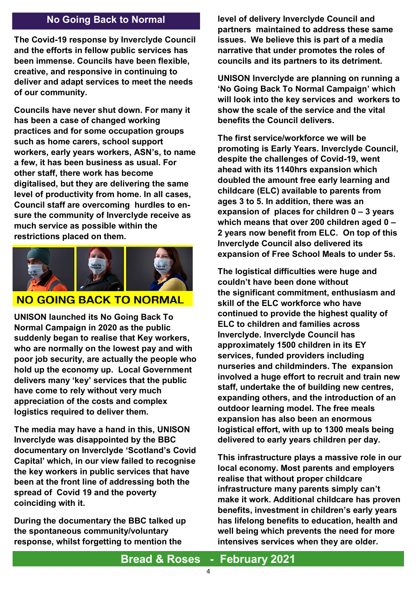# **No Going Back to Normal**

**The Covid-19 response by Inverclyde Council and the efforts in fellow public services has been immense. Councils have been flexible, creative, and responsive in continuing to deliver and adapt services to meet the needs of our community.**

**Councils have never shut down. For many it has been a case of changed working practices and for some occupation groups such as home carers, school support workers, early years workers, ASN's, to name a few, it has been business as usual. For other staff, there work has become digitalised, but they are delivering the same level of productivity from home. In all cases, Council staff are overcoming hurdles to ensure the community of Inverclyde receive as much service as possible within the restrictions placed on them.**



## **NO GOING BACK TO NORMAL**

**UNISON launched its No Going Back To Normal Campaign in 2020 as the public suddenly began to realise that Key workers, who are normally on the lowest pay and with poor job security, are actually the people who hold up the economy up. Local Government delivers many 'key' services that the public have come to rely without very much appreciation of the costs and complex logistics required to deliver them.**

**The media may have a hand in this, UNISON Inverclyde was disappointed by the BBC documentary on Inverclyde 'Scotland's Covid Capital' which, in our view failed to recognise the key workers in public services that have been at the front line of addressing both the spread of Covid 19 and the poverty coinciding with it.**

**During the documentary the BBC talked up the spontaneous community/voluntary response, whilst forgetting to mention the** 

**level of delivery Inverclyde Council and partners maintained to address these same issues. We believe this is part of a media narrative that under promotes the roles of councils and its partners to its detriment.**

**UNISON Inverclyde are planning on running a 'No Going Back To Normal Campaign' which will look into the key services and workers to show the scale of the service and the vital benefits the Council delivers.**

**The first service/workforce we will be promoting is Early Years. Inverclyde Council, despite the challenges of Covid-19, went ahead with its 1140hrs expansion which doubled the amount free early learning and childcare (ELC) available to parents from ages 3 to 5. In addition, there was an expansion of places for children 0 – 3 years which means that over 200 children aged 0 – 2 years now benefit from ELC. On top of this Inverclyde Council also delivered its expansion of Free School Meals to under 5s.** 

**The logistical difficulties were huge and couldn't have been done without the significant commitment, enthusiasm and skill of the ELC workforce who have continued to provide the highest quality of ELC to children and families across Inverclyde. Inverclyde Council has approximately 1500 children in its EY services, funded providers including nurseries and childminders. The expansion involved a huge effort to recruit and train new staff, undertake the of building new centres, expanding others, and the introduction of an outdoor learning model. The free meals expansion has also been an enormous logistical effort, with up to 1300 meals being delivered to early years children per day.**

**This infrastructure plays a massive role in our local economy. Most parents and employers realise that without proper childcare infrastructure many parents simply can't make it work. Additional childcare has proven benefits, investment in children's early years has lifelong benefits to education, health and well being which prevents the need for more intensives services when they are older.**